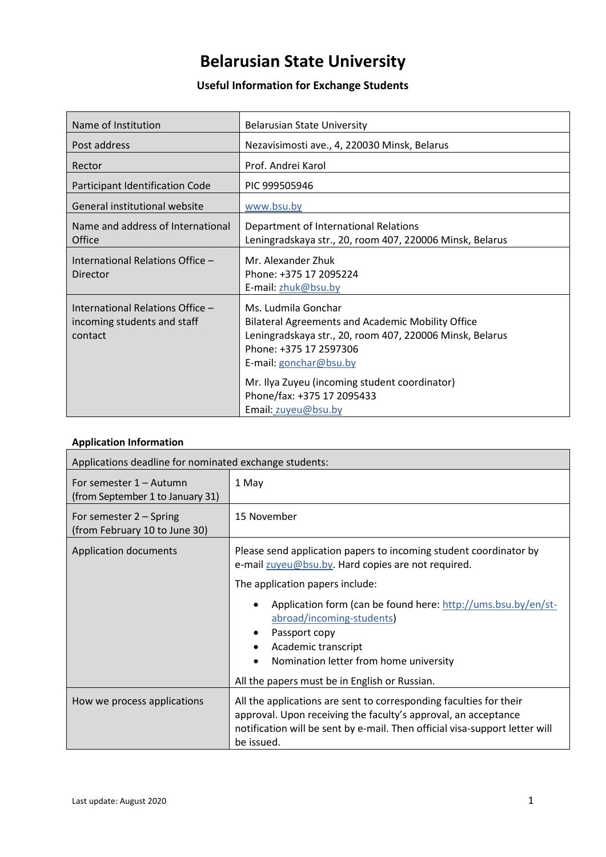# **Belarusian State University**

## **Useful Information for Exchange Students**

| Name of Institution                                                        | <b>Belarusian State University</b>                                                                                                                                                              |
|----------------------------------------------------------------------------|-------------------------------------------------------------------------------------------------------------------------------------------------------------------------------------------------|
| Post address                                                               | Nezavisimosti ave., 4, 220030 Minsk, Belarus                                                                                                                                                    |
| Rector                                                                     | Prof. Andrei Karol                                                                                                                                                                              |
| Participant Identification Code                                            | PIC 999505946                                                                                                                                                                                   |
| General institutional website                                              | www.bsu.by                                                                                                                                                                                      |
| Name and address of International<br>Office                                | Department of International Relations<br>Leningradskaya str., 20, room 407, 220006 Minsk, Belarus                                                                                               |
| International Relations Office -<br>Director                               | Mr. Alexander Zhuk<br>Phone: +375 17 2095224<br>E-mail: zhuk@bsu.by                                                                                                                             |
| International Relations Office -<br>incoming students and staff<br>contact | Ms. Ludmila Gonchar<br><b>Bilateral Agreements and Academic Mobility Office</b><br>Leningradskaya str., 20, room 407, 220006 Minsk, Belarus<br>Phone: +375 17 2597306<br>E-mail: gonchar@bsu.by |
|                                                                            | Mr. Ilya Zuyeu (incoming student coordinator)<br>Phone/fax: +375 17 2095433<br>Email: zuyeu@bsu.by                                                                                              |

## **Application Information**

| Applications deadline for nominated exchange students:      |                                                                                                                                                                                                                                                                                                                                                                                             |  |
|-------------------------------------------------------------|---------------------------------------------------------------------------------------------------------------------------------------------------------------------------------------------------------------------------------------------------------------------------------------------------------------------------------------------------------------------------------------------|--|
| For semester 1 – Autumn<br>(from September 1 to January 31) | 1 May                                                                                                                                                                                                                                                                                                                                                                                       |  |
| For semester $2 -$ Spring<br>(from February 10 to June 30)  | 15 November                                                                                                                                                                                                                                                                                                                                                                                 |  |
| <b>Application documents</b>                                | Please send application papers to incoming student coordinator by<br>e-mail zuyeu@bsu.by. Hard copies are not required.<br>The application papers include:<br>Application form (can be found here: http://ums.bsu.by/en/st-<br>abroad/incoming-students)<br>Passport copy<br>Academic transcript<br>Nomination letter from home university<br>All the papers must be in English or Russian. |  |
| How we process applications                                 | All the applications are sent to corresponding faculties for their<br>approval. Upon receiving the faculty's approval, an acceptance<br>notification will be sent by e-mail. Then official visa-support letter will<br>be issued.                                                                                                                                                           |  |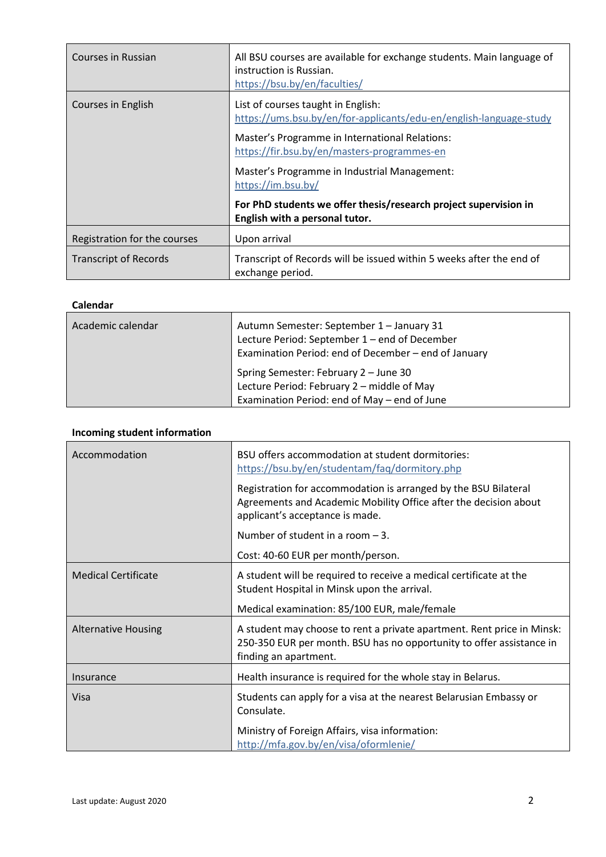| Courses in Russian           | All BSU courses are available for exchange students. Main language of<br>instruction is Russian.<br>https://bsu.by/en/faculties/                                                                          |
|------------------------------|-----------------------------------------------------------------------------------------------------------------------------------------------------------------------------------------------------------|
| Courses in English           | List of courses taught in English:<br>https://ums.bsu.by/en/for-applicants/edu-en/english-language-study<br>Master's Programme in International Relations:<br>https://fir.bsu.by/en/masters-programmes-en |
|                              | Master's Programme in Industrial Management:<br>https://im.bsu.by/                                                                                                                                        |
|                              | For PhD students we offer thesis/research project supervision in<br>English with a personal tutor.                                                                                                        |
| Registration for the courses | Upon arrival                                                                                                                                                                                              |
| <b>Transcript of Records</b> | Transcript of Records will be issued within 5 weeks after the end of<br>exchange period.                                                                                                                  |

### **Calendar**

| Academic calendar | Autumn Semester: September 1 - January 31<br>Lecture Period: September 1 - end of December<br>Examination Period: end of December - end of January |
|-------------------|----------------------------------------------------------------------------------------------------------------------------------------------------|
|                   | Spring Semester: February 2 - June 30<br>Lecture Period: February 2 - middle of May<br>Examination Period: end of May – end of June                |

## **Incoming student information**

| Accommodation              | BSU offers accommodation at student dormitories:<br>https://bsu.by/en/studentam/faq/dormitory.php                                                                       |
|----------------------------|-------------------------------------------------------------------------------------------------------------------------------------------------------------------------|
|                            | Registration for accommodation is arranged by the BSU Bilateral<br>Agreements and Academic Mobility Office after the decision about<br>applicant's acceptance is made.  |
|                            | Number of student in a room $-3$ .                                                                                                                                      |
|                            | Cost: 40-60 EUR per month/person.                                                                                                                                       |
| <b>Medical Certificate</b> | A student will be required to receive a medical certificate at the<br>Student Hospital in Minsk upon the arrival.                                                       |
|                            | Medical examination: 85/100 EUR, male/female                                                                                                                            |
| <b>Alternative Housing</b> | A student may choose to rent a private apartment. Rent price in Minsk:<br>250-350 EUR per month. BSU has no opportunity to offer assistance in<br>finding an apartment. |
| Insurance                  | Health insurance is required for the whole stay in Belarus.                                                                                                             |
| Visa                       | Students can apply for a visa at the nearest Belarusian Embassy or<br>Consulate.                                                                                        |
|                            | Ministry of Foreign Affairs, visa information:<br>http://mfa.gov.by/en/visa/oformlenie/                                                                                 |